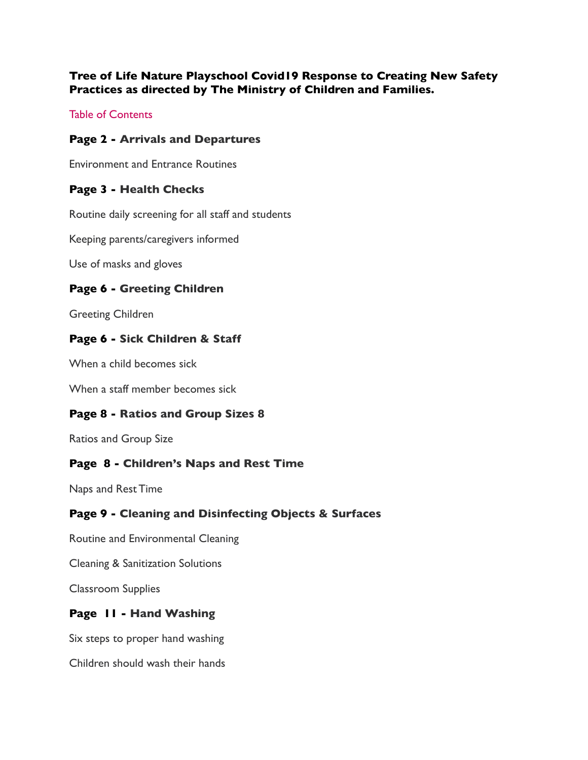## **Tree of Life Nature Playschool Covid19 Response to Creating New Safety Practices as directed by The Ministry of Children and Families.**

Table of Contents

## **Page 2 - Arrivals and Departures**

Environment and Entrance Routines

#### **Page 3 - Health Checks**

Routine daily screening for all staff and students

Keeping parents/caregivers informed

Use of masks and gloves

#### **Page 6 - Greeting Children**

Greeting Children

#### **Page 6 - Sick Children & Staff**

When a child becomes sick

When a staff member becomes sick

#### **Page 8 - Ratios and Group Sizes 8**

Ratios and Group Size

#### **Page 8 - Children's Naps and Rest Time**

Naps and Rest Time

## **Page 9 - Cleaning and Disinfecting Objects & Surfaces**

Routine and Environmental Cleaning

Cleaning & Sanitization Solutions

Classroom Supplies

## **Page 11 - Hand Washing**

Six steps to proper hand washing

Children should wash their hands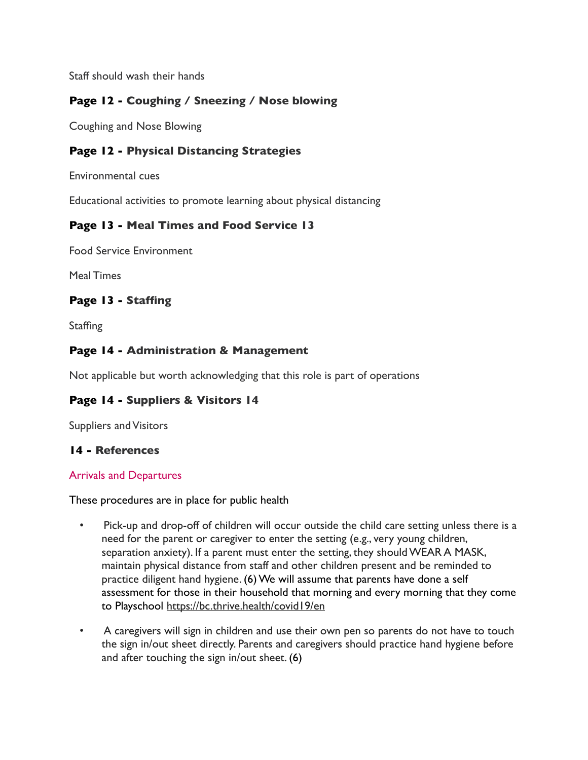Staff should wash their hands

# **Page 12 - Coughing / Sneezing / Nose blowing**

Coughing and Nose Blowing

## **Page 12 - Physical Distancing Strategies**

Environmental cues

Educational activities to promote learning about physical distancing

#### **Page 13 - Meal Times and Food Service 13**

Food Service Environment

Meal Times

## **Page 13 - Staffing**

**Staffing** 

## **Page 14 - Administration & Management**

Not applicable but worth acknowledging that this role is part of operations

## **Page 14 - Suppliers & Visitors 14**

Suppliers and Visitors

## **14 - References**

#### Arrivals and Departures

These procedures are in place for public health

- Pick-up and drop-off of children will occur outside the child care setting unless there is a need for the parent or caregiver to enter the setting (e.g., very young children, separation anxiety). If a parent must enter the setting, they should WEAR A MASK, maintain physical distance from staff and other children present and be reminded to practice diligent hand hygiene. (6) We will assume that parents have done a self assessment for those in their household that morning and every morning that they come to Playschool <https://bc.thrive.health/covid19/en>
- A caregivers will sign in children and use their own pen so parents do not have to touch the sign in/out sheet directly. Parents and caregivers should practice hand hygiene before and after touching the sign in/out sheet. (6)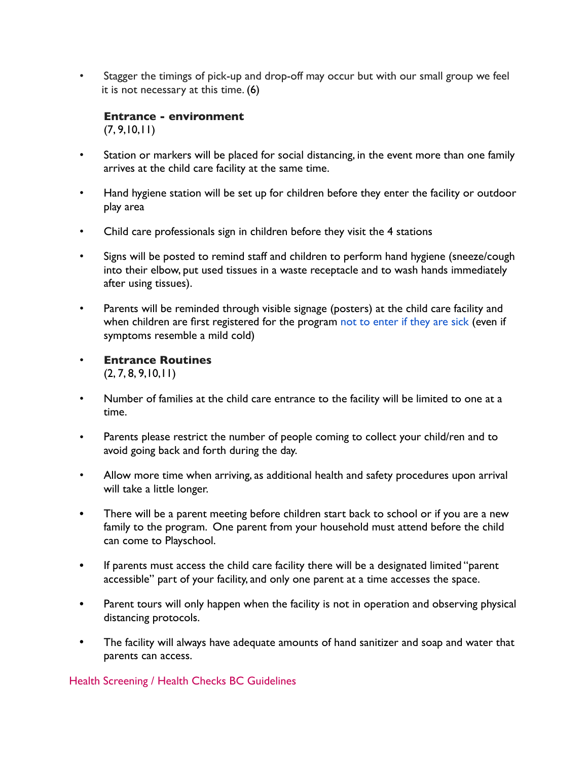• Stagger the timings of pick-up and drop-off may occur but with our small group we feel it is not necessary at this time. (6)

**Entrance - environment**  $(7, 9, 10, 11)$ 

- Station or markers will be placed for social distancing, in the event more than one family arrives at the child care facility at the same time.
- Hand hygiene station will be set up for children before they enter the facility or outdoor play area
- Child care professionals sign in children before they visit the 4 stations
- Signs will be posted to remind staff and children to perform hand hygiene (sneeze/cough into their elbow, put used tissues in a waste receptacle and to wash hands immediately after using tissues).
- Parents will be reminded through visible signage (posters) at the child care facility and when children are first registered for the program not to enter if they are sick (even if symptoms resemble a mild cold)
- **Entrance Routines**  $(2, 7, 8, 9, 10, 11)$
- Number of families at the child care entrance to the facility will be limited to one at a time.
- Parents please restrict the number of people coming to collect your child/ren and to avoid going back and forth during the day.
- Allow more time when arriving, as additional health and safety procedures upon arrival will take a little longer.
- There will be a parent meeting before children start back to school or if you are a new family to the program. One parent from your household must attend before the child can come to Playschool.
- If parents must access the child care facility there will be a designated limited "parent accessible" part of your facility, and only one parent at a time accesses the space.
- Parent tours will only happen when the facility is not in operation and observing physical distancing protocols.
- The facility will always have adequate amounts of hand sanitizer and soap and water that parents can access.

Health Screening / Health Checks BC Guidelines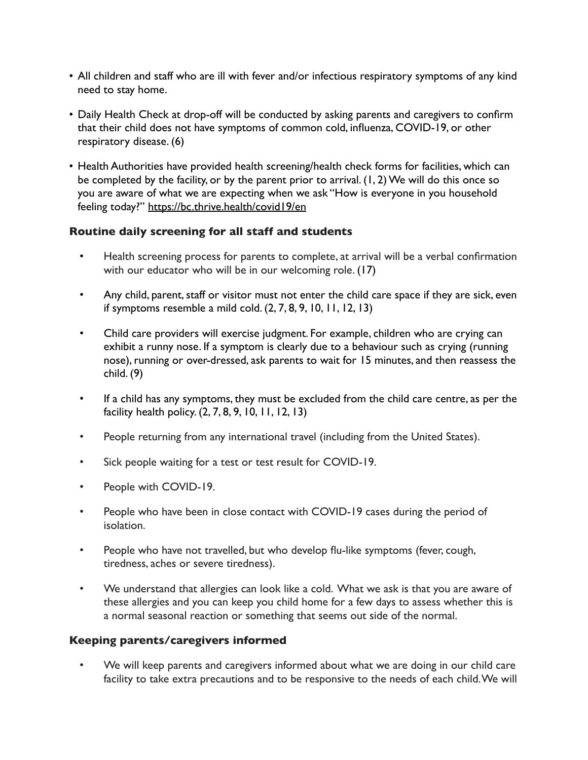- All children and staff who are ill with fever and/or infectious respiratory symptoms of any kind need to stay home.
- Daily Health Check at drop-off will be conducted by asking parents and caregivers to confirm that their child does not have symptoms of common cold, influenza, COVID-19, or other respiratory disease. (6)
- Health Authorities have provided health screening/health check forms for facilities, which can be completed by the facility, or by the parent prior to arrival. (1, 2) We will do this once so you are aware of what we are expecting when we ask "How is everyone in you household feeling today?"<https://bc.thrive.health/covid19/en>

## **Routine daily screening for all staff and students**

- Health screening process for parents to complete, at arrival will be a verbal confirmation with our educator who will be in our welcoming role. (17)
- Any child, parent, staff or visitor must not enter the child care space if they are sick, even if symptoms resemble a mild cold. (2, 7, 8, 9, 10, 11, 12, 13)
- Child care providers will exercise judgment. For example, children who are crying can exhibit a runny nose. If a symptom is clearly due to a behaviour such as crying (running nose), running or over-dressed, ask parents to wait for 15 minutes, and then reassess the child. (9)
- If a child has any symptoms, they must be excluded from the child care centre, as per the facility health policy. (2, 7, 8, 9, 10, 11, 12, 13)
- People returning from any international travel (including from the United States).
- Sick people waiting for a test or test result for COVID-19.
- People with COVID-19.
- People who have been in close contact with COVID-19 cases during the period of isolation.
- People who have not travelled, but who develop flu-like symptoms (fever, cough, tiredness, aches or severe tiredness).
- We understand that allergies can look like a cold. What we ask is that you are aware of these allergies and you can keep you child home for a few days to assess whether this is a normal seasonal reaction or something that seems out side of the normal.

## **Keeping parents/caregivers informed**

• We will keep parents and caregivers informed about what we are doing in our child care facility to take extra precautions and to be responsive to the needs of each child. We will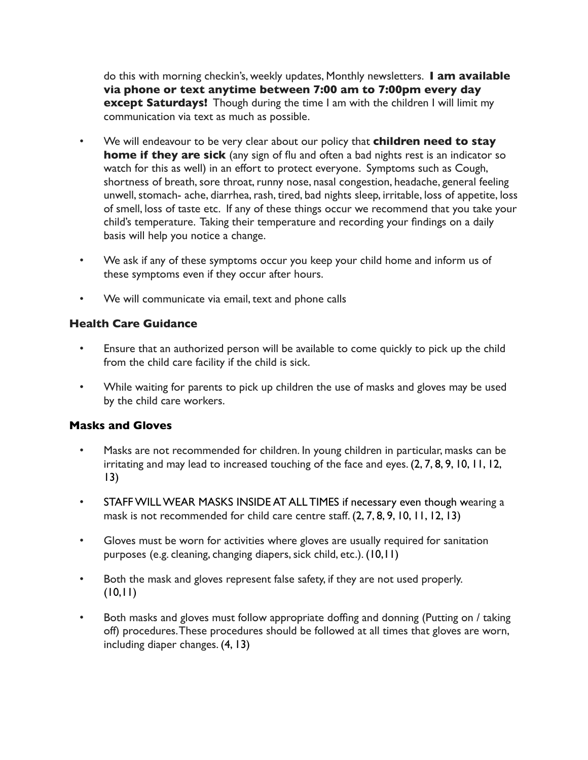do this with morning checkin's, weekly updates, Monthly newsletters. **I am available via phone or text anytime between 7:00 am to 7:00pm every day except Saturdays!** Though during the time I am with the children I will limit my communication via text as much as possible.

- We will endeavour to be very clear about our policy that **children need to stay home if they are sick** (any sign of flu and often a bad nights rest is an indicator so watch for this as well) in an effort to protect everyone. Symptoms such as Cough, shortness of breath, sore throat, runny nose, nasal congestion, headache, general feeling unwell, stomach- ache, diarrhea, rash, tired, bad nights sleep, irritable, loss of appetite, loss of smell, loss of taste etc. If any of these things occur we recommend that you take your child's temperature. Taking their temperature and recording your findings on a daily basis will help you notice a change.
- We ask if any of these symptoms occur you keep your child home and inform us of these symptoms even if they occur after hours.
- We will communicate via email, text and phone calls

# **[Health Care Guidance](https://www2.gov.bc.ca/assets/gov/health/about-bc-s-health-care-system/office-of-the-provincial-health-officer/covid-19/covid-19_child_care_guidance_-_2020_may_15_-final.pdf)**

- Ensure that an authorized person will be available to come quickly to pick up the child from the child care facility if the child is sick.
- While waiting for parents to pick up children the use of masks and gloves may be used by the child care workers.

## **Masks and Gloves**

- Masks are not recommended for children. In young children in particular, masks can be irritating and may lead to increased touching of the face and eyes. (2, 7, 8, 9, 10, 11, 12, 13)
- STAFF WILL WEAR MASKS INSIDE AT ALL TIMES if necessary even though wearing a mask is not recommended for child care centre staff. (2, 7, 8, 9, 10, 11, 12, 13)
- Gloves must be worn for activities where gloves are usually required for sanitation purposes (e.g. cleaning, changing diapers, sick child, etc.). (10,11)
- Both the mask and gloves represent false safety, if they are not used properly.  $(10, 11)$
- Both masks and gloves must follow appropriate doffing and donning (Putting on / taking off) procedures. These procedures should be followed at all times that gloves are worn, including diaper changes. (4, 13)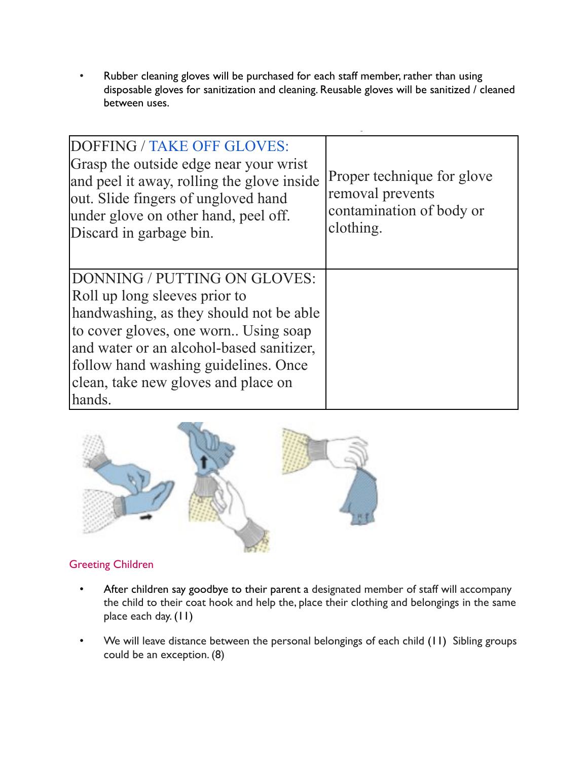Rubber cleaning gloves will be purchased for each staff member, rather than using disposable gloves for sanitization and cleaning. Reusable gloves will be sanitized / cleaned between uses.

| <b>DOFFING / TAKE OFF GLOVES:</b><br>Grasp the outside edge near your wrist<br>and peel it away, rolling the glove inside<br>out. Slide fingers of ungloved hand<br>under glove on other hand, peel off.<br>Discard in garbage bin.                                                   | Proper technique for glove<br>removal prevents<br>contamination of body or<br>clothing. |
|---------------------------------------------------------------------------------------------------------------------------------------------------------------------------------------------------------------------------------------------------------------------------------------|-----------------------------------------------------------------------------------------|
| DONNING / PUTTING ON GLOVES:<br>Roll up long sleeves prior to<br>handwashing, as they should not be able<br>to cover gloves, one worn Using soap<br>and water or an alcohol-based sanitizer,<br>follow hand washing guidelines. Once<br>clean, take new gloves and place on<br>hands. |                                                                                         |



# Greeting Children

- After children say goodbye to their parent a designated member of staff will accompany the child to their coat hook and help the, place their clothing and belongings in the same place each day. (11)
- We will leave distance between the personal belongings of each child (11) Sibling groups could be an exception. (8)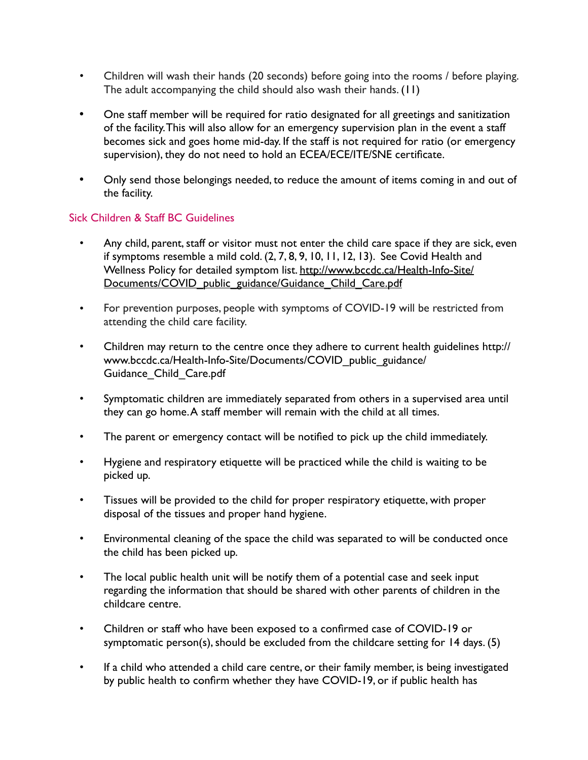- Children will wash their hands (20 seconds) before going into the rooms / before playing. The adult accompanying the child should also wash their hands. (11)
- One staff member will be required for ratio designated for all greetings and sanitization of the facility. This will also allow for an emergency supervision plan in the event a staff becomes sick and goes home mid-day. If the staff is not required for ratio (or emergency supervision), they do not need to hold an ECEA/ECE/ITE/SNE certificate.
- Only send those belongings needed, to reduce the amount of items coming in and out of the facility.

## Sick Children & Staff BC Guidelines

- Any child, parent, staff or visitor must not enter the child care space if they are sick, even if symptoms resemble a mild cold. (2, 7, 8, 9, 10, 11, 12, 13). See Covid Health and [Wellness Policy for detailed symptom list. http://www.bccdc.ca/Health-Info-Site/](http://www.bccdc.ca/Health-Info-Site/Documents/COVID_public_guidance/Guidance_Child_Care.pdf) [Documents/COVID\\_public\\_guidance/Guidance\\_Child\\_Care.pdf](http://www.bccdc.ca/Health-Info-Site/Documents/COVID_public_guidance/Guidance_Child_Care.pdf)
- For prevention purposes, people with symptoms of COVID-19 will be restricted from attending the child care facility.
- Children may return to the centre once they adhere to current health guidelines http:// www.bccdc.ca/Health-Info-Site/Documents/COVID\_public\_guidance/ Guidance\_Child\_Care.pdf
- Symptomatic children are immediately separated from others in a supervised area until they can go home. A staff member will remain with the child at all times.
- The parent or emergency contact will be notified to pick up the child immediately.
- Hygiene and respiratory etiquette will be practiced while the child is waiting to be picked up.
- Tissues will be provided to the child for proper respiratory etiquette, with proper disposal of the tissues and proper hand hygiene.
- Environmental cleaning of the space the child was separated to will be conducted once the child has been picked up.
- The local public health unit will be notify them of a potential case and seek input regarding the information that should be shared with other parents of children in the childcare centre.
- Children or staff who have been exposed to a confirmed case of COVID-19 or symptomatic person(s), should be excluded from the childcare setting for 14 days. (5)
- If a child who attended a child care centre, or their family member, is being investigated by public health to confirm whether they have COVID-19, or if public health has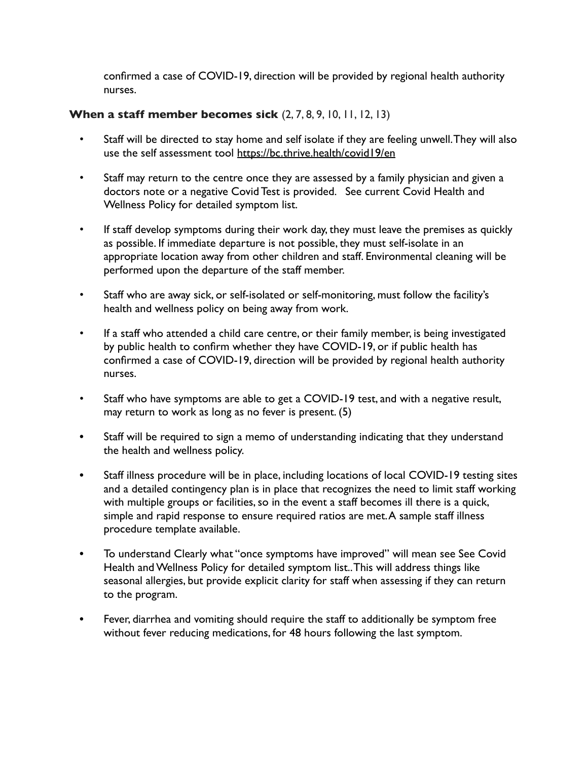confirmed a case of COVID-19, direction will be provided by regional health authority nurses.

## **When a staff member becomes sick** (2, 7, 8, 9, 10, 11, 12, 13)

- Staff will be directed to stay home and self isolate if they are feeling unwell. They will also use the self assessment tool <https://bc.thrive.health/covid19/en>
- Staff may return to the centre once they are assessed by a family physician and given a doctors note or a negative Covid Test is provided. See current Covid Health and Wellness Policy for detailed symptom list.
- If staff develop symptoms during their work day, they must leave the premises as quickly as possible. If immediate departure is not possible, they must self-isolate in an appropriate location away from other children and staff. Environmental cleaning will be performed upon the departure of the staff member.
- Staff who are away sick, or self-isolated or self-monitoring, must follow the facility's health and wellness policy on being away from work.
- If a staff who attended a child care centre, or their family member, is being investigated by public health to confirm whether they have COVID-19, or if public health has confirmed a case of COVID-19, direction will be provided by regional health authority nurses.
- Staff who have symptoms are able to get a COVID-19 test, and with a negative result, may return to work as long as no fever is present. (5)
- Staff will be required to sign a memo of understanding indicating that they understand the health and wellness policy.
- Staff illness procedure will be in place, including locations of local COVID-19 testing sites and a detailed contingency plan is in place that recognizes the need to limit staff working with multiple groups or facilities, so in the event a staff becomes ill there is a quick, simple and rapid response to ensure required ratios are met. A sample staff illness procedure template available.
- To understand Clearly what "once symptoms have improved" will mean see See Covid Health and Wellness Policy for detailed symptom list.. This will address things like seasonal allergies, but provide explicit clarity for staff when assessing if they can return to the program.
- Fever, diarrhea and vomiting should require the staff to additionally be symptom free without fever reducing medications, for 48 hours following the last symptom.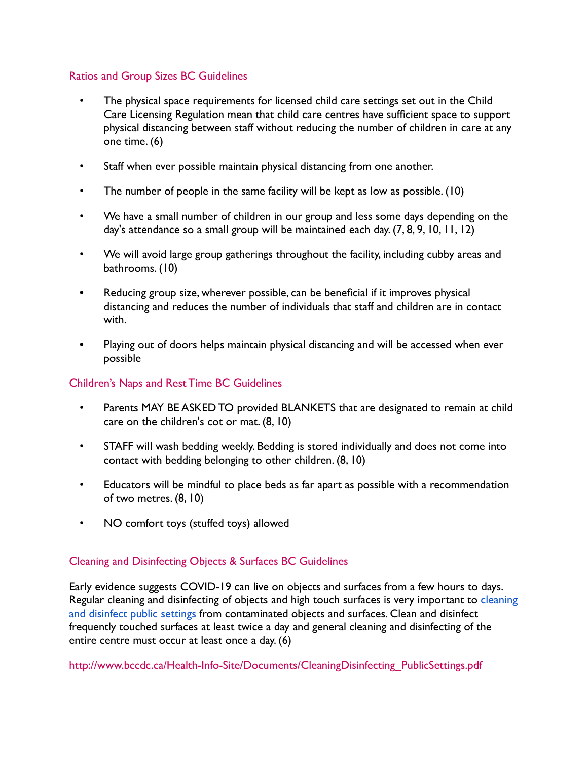## Ratios and Group Sizes BC Guidelines

- The physical space requirements for licensed child care settings set out in the Child Care Licensing Regulation mean that child care centres have sufficient space to support physical distancing between staff without reducing the number of children in care at any one time. (6)
- Staff when ever possible maintain physical distancing from one another.
- The number of people in the same facility will be kept as low as possible. (10)
- We have a small number of children in our group and less some days depending on the day's attendance so a small group will be maintained each day. (7, 8, 9, 10, 11, 12)
- We will avoid large group gatherings throughout the facility, including cubby areas and bathrooms. (10)
- Reducing group size, wherever possible, can be beneficial if it improves physical distancing and reduces the number of individuals that staff and children are in contact with.
- Playing out of doors helps maintain physical distancing and will be accessed when ever possible

#### Children's Naps and Rest Time BC Guidelines

- Parents MAY BE ASKED TO provided BLANKETS that are designated to remain at child care on the children's cot or mat. (8, 10)
- STAFF will wash bedding weekly. Bedding is stored individually and does not come into contact with bedding belonging to other children. (8, 10)
- Educators will be mindful to place beds as far apart as possible with a recommendation of two metres. (8, 10)
- NO comfort toys (stuffed toys) allowed

## Cleaning and Disinfecting Objects & Surfaces BC Guidelines

Early evidence suggests COVID-19 can live on objects and surfaces from a few hours to days. Regular cleaning and disinfecting of objects and high touch surfaces is very important to cleaning and disinfect public settings from contaminated objects and surfaces. Clean and disinfect frequently touched surfaces at least twice a day and general cleaning and disinfecting of the entire centre must occur at least once a day. (6)

[http://www.bccdc.ca/Health-Info-Site/Documents/CleaningDisinfecting\\_PublicSettings.pdf](http://www.bccdc.ca/Health-Info-Site/Documents/CleaningDisinfecting_PublicSettings.pdf)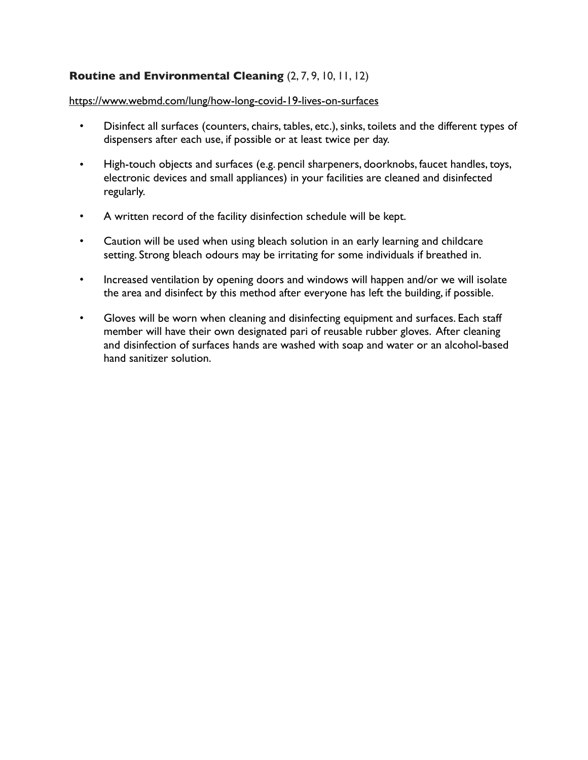## **Routine and Environmental Cleaning** (2, 7, 9, 10, 11, 12)

#### <https://www.webmd.com/lung/how-long-covid-19-lives-on-surfaces>

- Disinfect all surfaces (counters, chairs, tables, etc.), sinks, toilets and the different types of dispensers after each use, if possible or at least twice per day.
- High-touch objects and surfaces (e.g. pencil sharpeners, doorknobs, faucet handles, toys, electronic devices and small appliances) in your facilities are cleaned and disinfected regularly.
- A written record of the facility disinfection schedule will be kept.
- Caution will be used when using bleach solution in an early learning and childcare setting. Strong bleach odours may be irritating for some individuals if breathed in.
- Increased ventilation by opening doors and windows will happen and/or we will isolate the area and disinfect by this method after everyone has left the building, if possible.
- Gloves will be worn when cleaning and disinfecting equipment and surfaces. Each staff member will have their own designated pari of reusable rubber gloves. After cleaning and disinfection of surfaces hands are washed with soap and water or an alcohol-based hand sanitizer solution.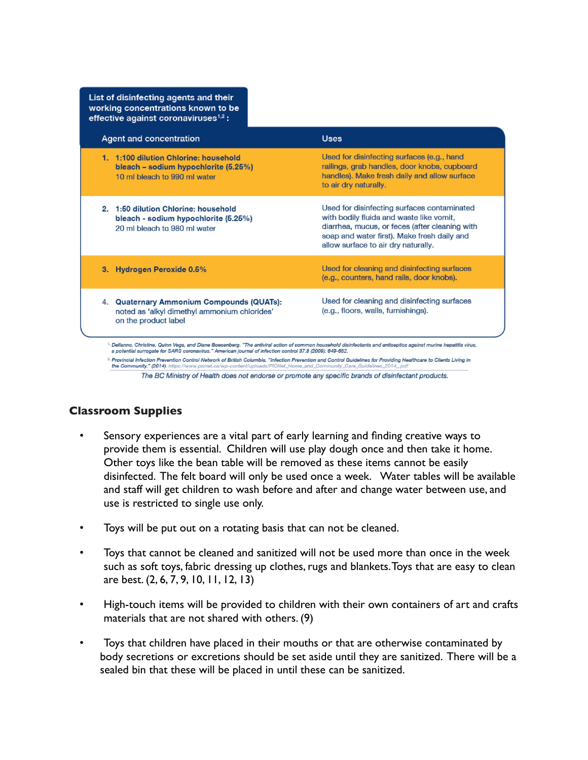| List of disinfecting agents and their<br>working concentrations known to be<br>effective against coronaviruses $1,2$ : |                                                                                                                                                                                                                                 |
|------------------------------------------------------------------------------------------------------------------------|---------------------------------------------------------------------------------------------------------------------------------------------------------------------------------------------------------------------------------|
| Agent and concentration                                                                                                | <b>Uses</b>                                                                                                                                                                                                                     |
| 1. 1:100 dilution Chlorine: household<br>bleach – sodium hypochlorite (5.25%)<br>10 ml bleach to 990 ml water          | Used for disinfecting surfaces (e.g., hand<br>railings, grab handles, door knobs, cupboard<br>handles). Make fresh daily and allow surface<br>to air dry naturally.                                                             |
| 2. 1:50 dilution Chlorine: household<br>bleach - sodium hypochlorite (5.25%)<br>20 ml bleach to 980 ml water           | Used for disinfecting surfaces contaminated<br>with bodily fluids and waste like vomit,<br>diarrhea, mucus, or feces (after cleaning with<br>soap and water first). Make fresh daily and<br>allow surface to air dry naturally. |
| 3. Hydrogen Peroxide 0.5%                                                                                              | Used for cleaning and disinfecting surfaces<br>(e.g., counters, hand rails, door knobs).                                                                                                                                        |
| 4. Quaternary Ammonium Compounds (QUATs):<br>noted as 'alkyl dimethyl ammonium chlorides'<br>on the product label      | Used for cleaning and disinfecting surfaces<br>(e.g., floors, walls, furnishings).                                                                                                                                              |

a potential surrogate for SARS coronavirus." American journal of infection control 37.8 (2009): 649-652.

Provincial Infection Prevention Control Network of British Columbia. "Infection Prevention and Control Guidelines for Providing Healthcare to Clients Living in the Community." (2014). https://www.picnet.ca/wp-content/uploads/PICNet\_Home\_and\_Community\_Care\_Guidelines\_2014\_

The BC Ministry of Health does not endorse or promote any specific brands of disinfectant products.

# **Classroom Supplies**

- Sensory experiences are a vital part of early learning and finding creative ways to provide them is essential. Children will use play dough once and then take it home. Other toys like the bean table will be removed as these items cannot be easily disinfected. The felt board will only be used once a week. Water tables will be available and staff will get children to wash before and after and change water between use, and use is restricted to single use only.
- Toys will be put out on a rotating basis that can not be cleaned.
- Toys that cannot be cleaned and sanitized will not be used more than once in the week such as soft toys, fabric dressing up clothes, rugs and blankets. Toys that are easy to clean are best. (2, 6, 7, 9, 10, 11, 12, 13)
- High-touch items will be provided to children with their own containers of art and crafts materials that are not shared with others. (9)
- Toys that children have placed in their mouths or that are otherwise contaminated by body secretions or excretions should be set aside until they are sanitized. There will be a sealed bin that these will be placed in until these can be sanitized.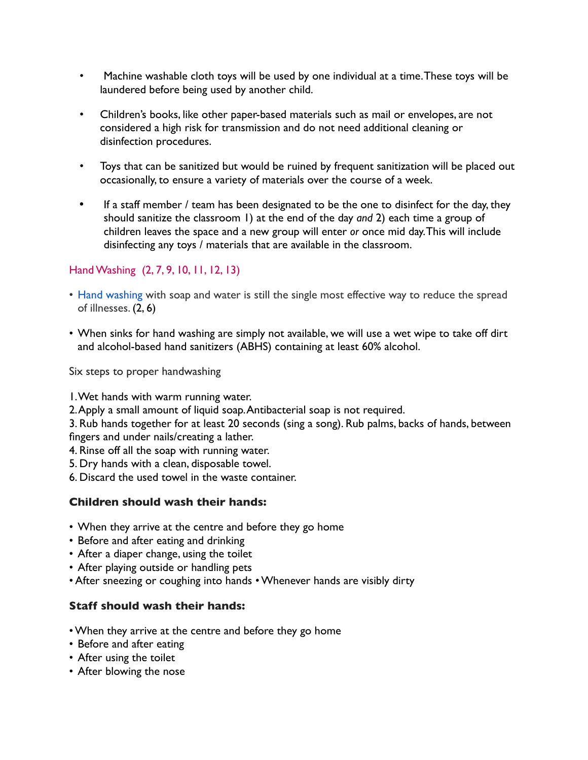- Machine washable cloth toys will be used by one individual at a time. These toys will be laundered before being used by another child.
- Children's books, like other paper-based materials such as mail or envelopes, are not considered a high risk for transmission and do not need additional cleaning or disinfection procedures.
- Toys that can be sanitized but would be ruined by frequent sanitization will be placed out occasionally, to ensure a variety of materials over the course of a week.
- If a staff member / team has been designated to be the one to disinfect for the day, they should sanitize the classroom 1) at the end of the day *and* 2) each time a group of children leaves the space and a new group will enter *or* once mid day. This will include disinfecting any toys / materials that are available in the classroom.

# Hand Washing (2, 7, 9, 10, 11, 12, 13)

- Hand washing with soap and water is still the single most effective way to reduce the spread of illnesses. (2, 6)
- When sinks for hand washing are simply not available, we will use a wet wipe to take off dirt and alcohol-based hand sanitizers (ABHS) containing at least 60% alcohol.

Six steps to proper handwashing

- 1. Wet hands with warm running water.
- 2. Apply a small amount of liquid soap. Antibacterial soap is not required.

3. Rub hands together for at least 20 seconds (sing a song). Rub palms, backs of hands, between fingers and under nails/creating a lather.

- 4. Rinse off all the soap with running water.
- 5. Dry hands with a clean, disposable towel.
- 6. Discard the used towel in the waste container.

## **Children should wash their hands:**

- When they arrive at the centre and before they go home
- Before and after eating and drinking
- After a diaper change, using the toilet
- After playing outside or handling pets
- After sneezing or coughing into hands Whenever hands are visibly dirty

## **Staff should wash their hands:**

- When they arrive at the centre and before they go home
- Before and after eating
- After using the toilet
- After blowing the nose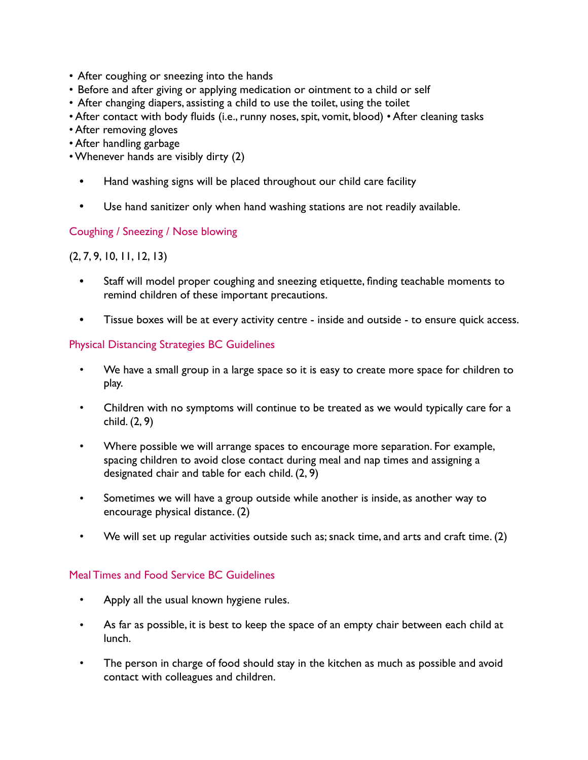- After coughing or sneezing into the hands
- Before and after giving or applying medication or ointment to a child or self
- After changing diapers, assisting a child to use the toilet, using the toilet
- After contact with body fluids (i.e., runny noses, spit, vomit, blood) After cleaning tasks
- After removing gloves
- After handling garbage
- Whenever hands are visibly dirty (2)
	- Hand washing signs will be placed throughout our child care facility
	- Use hand sanitizer only when hand washing stations are not readily available.

## Coughing / Sneezing / Nose blowing

## (2, 7, 9, 10, 11, 12, 13)

- Staff will model proper coughing and sneezing etiquette, finding teachable moments to remind children of these important precautions.
- Tissue boxes will be at every activity centre inside and outside to ensure quick access.

## Physical Distancing Strategies BC Guidelines

- We have a small group in a large space so it is easy to create more space for children to play.
- Children with no symptoms will continue to be treated as we would typically care for a child. (2, 9)
- Where possible we will arrange spaces to encourage more separation. For example, spacing children to avoid close contact during meal and nap times and assigning a designated chair and table for each child. (2, 9)
- Sometimes we will have a group outside while another is inside, as another way to encourage physical distance. (2)
- We will set up regular activities outside such as; snack time, and arts and craft time. (2)

## Meal Times and Food Service BC Guidelines

- Apply all the usual known hygiene rules.
- As far as possible, it is best to keep the space of an empty chair between each child at lunch.
- The person in charge of food should stay in the kitchen as much as possible and avoid contact with colleagues and children.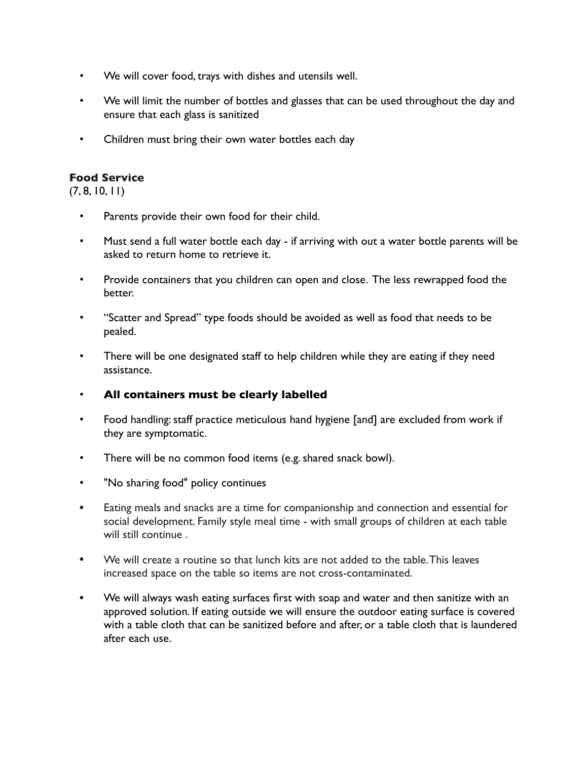- We will cover food, trays with dishes and utensils well.
- We will limit the number of bottles and glasses that can be used throughout the day and ensure that each glass is sanitized
- Children must bring their own water bottles each day

## **Food Service**

(7, 8, 10, 11)

- Parents provide their own food for their child.
- Must send a full water bottle each day if arriving with out a water bottle parents will be asked to return home to retrieve it.
- Provide containers that you children can open and close. The less rewrapped food the better.
- "Scatter and Spread" type foods should be avoided as well as food that needs to be pealed.
- There will be one designated staff to help children while they are eating if they need assistance.
- **All containers must be clearly labelled**
- Food handling: staff practice meticulous hand hygiene [and] are excluded from work if they are symptomatic.
- There will be no common food items (e.g. shared snack bowl).
- "No sharing food" policy continues
- Eating meals and snacks are a time for companionship and connection and essential for social development. Family style meal time - with small groups of children at each table will still continue .
- We will create a routine so that lunch kits are not added to the table. This leaves increased space on the table so items are not cross-contaminated.
- We will always wash eating surfaces first with soap and water and then sanitize with an approved solution. If eating outside we will ensure the outdoor eating surface is covered with a table cloth that can be sanitized before and after, or a table cloth that is laundered after each use.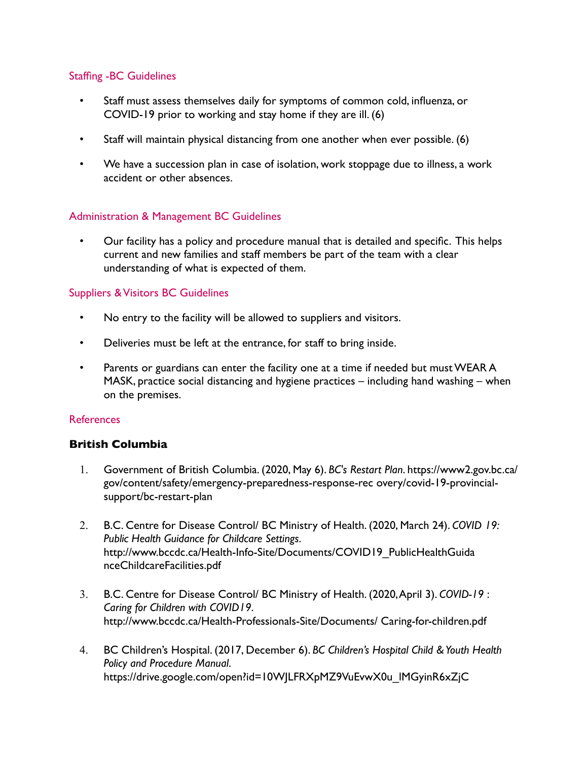#### Staffing -BC Guidelines

- Staff must assess themselves daily for symptoms of common cold, influenza, or COVID-19 prior to working and stay home if they are ill. (6)
- Staff will maintain physical distancing from one another when ever possible. (6)
- We have a succession plan in case of isolation, work stoppage due to illness, a work accident or other absences.

## Administration & Management BC Guidelines

• Our facility has a policy and procedure manual that is detailed and specific. This helps current and new families and staff members be part of the team with a clear understanding of what is expected of them.

#### Suppliers & Visitors BC Guidelines

- No entry to the facility will be allowed to suppliers and visitors.
- Deliveries must be left at the entrance, for staff to bring inside.
- Parents or guardians can enter the facility one at a time if needed but must WEAR A MASK, practice social distancing and hygiene practices – including hand washing – when on the premises.

#### References

#### **British Columbia**

- 1. Government of British Columbia. (2020, May 6). *BC's Restart Plan*. https://www2.gov.bc.ca/ gov/content/safety/emergency-preparedness-response-rec overy/covid-19-provincialsupport/bc-restart-plan
- 2. B.C. Centre for Disease Control/ BC Ministry of Health. (2020, March 24). *COVID 19: Public Health Guidance for Childcare Settings.*  http://www.bccdc.ca/Health-Info-Site/Documents/COVID19\_PublicHealthGuida nceChildcareFacilities.pdf
- 3. B.C. Centre for Disease Control/ BC Ministry of Health. (2020, April 3). *COVID-19* : *Caring for Children with COVID19*. http://www.bccdc.ca/Health-Professionals-Site/Documents/ Caring-for-children.pdf
- 4. BC Children's Hospital. (2017, December 6). *BC Children's Hospital Child & Youth Health Policy and Procedure Manual*. https://drive.google.com/open?id=10WJLFRXpMZ9VuEvwX0u\_lMGyinR6xZjC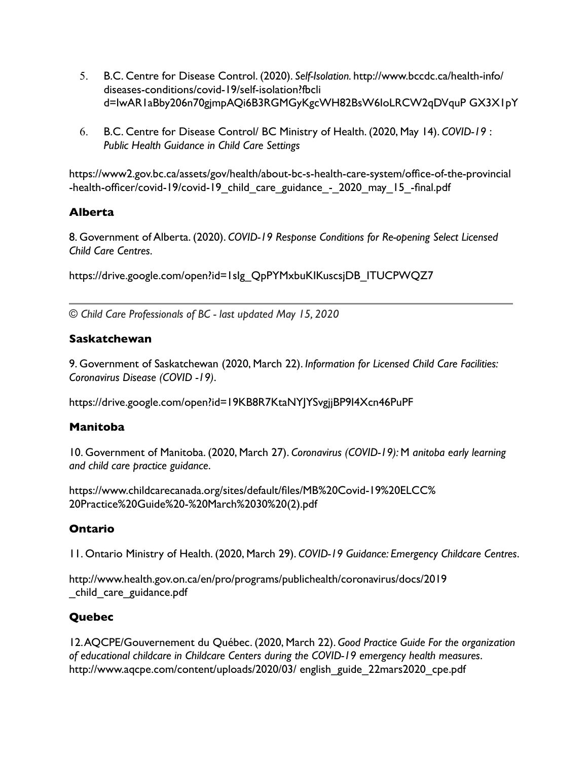- 5. B.C. Centre for Disease Control. (2020). *Self-Isolation.* http://www.bccdc.ca/health-info/ diseases-conditions/covid-19/self-isolation?fbcli d=IwAR1aBby206n70gjmpAQi6B3RGMGyKgcWH82BsW6IoLRCW2qDVquP GX3X1pY
- 6. B.C. Centre for Disease Control/ BC Ministry of Health. (2020, May 14). *COVID-19* : *Public Health Guidance in Child Care Settings*

https://www2.gov.bc.ca/assets/gov/health/about-bc-s-health-care-system/office-of-the-provincial -health-officer/covid-19/covid-19\_child\_care\_guidance\_-\_2020\_may\_15\_-final.pdf

## **Alberta**

8. Government of Alberta. (2020). *COVID-19 Response Conditions for Re-opening Select Licensed Child Care Centres.* 

https://drive.google.com/open?id=1slg\_QpPYMxbuKIKuscsjDB\_ITUCPWQZ7

*© Child Care Professionals of BC - last updated May 15, 2020* 

# **Saskatchewan**

9. Government of Saskatchewan (2020, March 22). *Information for Licensed Child Care Facilities: Coronavirus Disease (COVID -19)*.

https://drive.google.com/open?id=19KB8R7KtaNYJYSvgjjBP9I4Xcn46PuPF

# **Manitoba**

10. Government of Manitoba. (2020, March 27). *Coronavirus (COVID-19):* M *anitoba early learning and child care practice guidance*.

https://www.childcarecanada.org/sites/default/files/MB%20Covid-19%20ELCC% 20Practice%20Guide%20-%20March%2030%20(2).pdf

# **Ontario**

11. Ontario Ministry of Health. (2020, March 29). *COVID-19 Guidance: Emergency Childcare Centres*.

http://www.health.gov.on.ca/en/pro/programs/publichealth/coronavirus/docs/2019 \_child\_care\_guidance.pdf

# **Quebec**

12. AQCPE/Gouvernement du Québec. (2020, March 22). *Good Practice Guide For the organization of educational childcare in Childcare Centers during the COVID-19 emergency health measures*. http://www.aqcpe.com/content/uploads/2020/03/ english\_guide\_22mars2020\_cpe.pdf